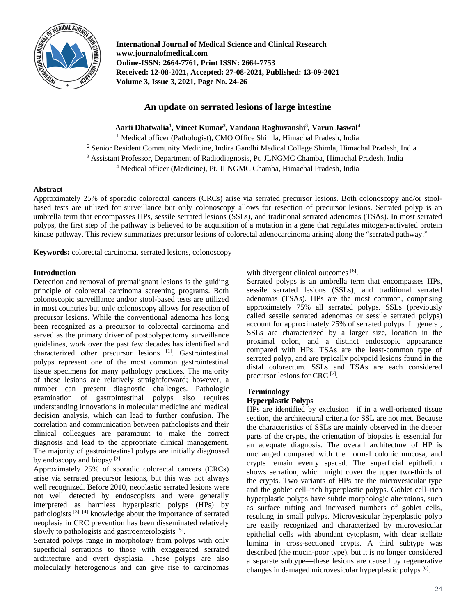

**International Journal of Medical Science and Clinical Research www.journalofmedical.com Online-ISSN: 2664-7761, Print ISSN: 2664-7753 Received: 12-08-2021, Accepted: 27-08-2021, Published: 13-09-2021 Volume 3, Issue 3, 2021, Page No. 24-26**

# **An update on serrated lesions of large intestine**

**Aarti Dhatwalia1 , Vineet Kumar2 , Vandana Raghuvanshi3 , Varun Jaswal4** <sup>1</sup> Medical officer (Pathologist), CMO Office Shimla, Himachal Pradesh, India <sup>2</sup> Senior Resident Community Medicine, Indira Gandhi Medical College Shimla, Himachal Pradesh, India <sup>3</sup> Assistant Professor, Department of Radiodiagnosis, Pt. JLNGMC Chamba, Himachal Pradesh, India <sup>4</sup> Medical officer (Medicine), Pt. JLNGMC Chamba, Himachal Pradesh, India

## **Abstract**

Approximately 25% of sporadic colorectal cancers (CRCs) arise via serrated precursor lesions. Both colonoscopy and/or stoolbased tests are utilized for surveillance but only colonoscopy allows for resection of precursor lesions. Serrated polyp is an umbrella term that encompasses HPs, sessile serrated lesions (SSLs), and traditional serrated adenomas (TSAs). In most serrated polyps, the first step of the pathway is believed to be acquisition of a mutation in a gene that regulates mitogen-activated protein kinase pathway. This review summarizes precursor lesions of colorectal adenocarcinoma arising along the "serrated pathway."

**Keywords:** colorectal carcinoma, serrated lesions, colonoscopy

## **Introduction**

Detection and removal of premalignant lesions is the guiding principle of colorectal carcinoma screening programs. Both colonoscopic surveillance and/or stool-based tests are utilized in most countries but only colonoscopy allows for resection of precursor lesions. While the conventional adenoma has long been recognized as a precursor to colorectal carcinoma and served as the primary driver of postpolypectomy surveillance guidelines, work over the past few decades has identified and characterized other precursor lesions [1]. Gastrointestinal polyps represent one of the most common gastrointestinal tissue specimens for many pathology practices. The majority of these lesions are relatively straightforward; however, a number can present diagnostic challenges. Pathologic<br>examination of gastrointestinal polyps also requires  $examination$  of gastrointestinal understanding innovations in molecular medicine and medical decision analysis, which can lead to further confusion. The correlation and communication between pathologists and their clinical colleagues are paramount to make the correct diagnosis and lead to the appropriate clinical management. The majority of gastrointestinal polyps are initially diagnosed by endoscopy and biopsy [2].

Approximately 25% of sporadic colorectal cancers (CRCs) arise via serrated precursor lesions, but this was not always well recognized. Before 2010, neoplastic serrated lesions were not well detected by endoscopists and were generally interpreted as harmless hyperplastic polyps (HPs) by pathologists [3], [4] knowledge about the importance of serrated neoplasia in CRC prevention has been disseminated relatively slowly to pathologists and gastroenterologists <sup>[5]</sup>.

Serrated polyps range in morphology from polyps with only superficial serrations to those with exaggerated serrated architecture and overt dysplasia. These polyps are also molecularly heterogenous and can give rise to carcinomas

with divergent clinical outcomes [6].

Serrated polyps is an umbrella term that encompasses HPs, sessile serrated lesions (SSLs), and traditional serrated adenomas (TSAs). HPs are the most common, comprising approximately 75% all serrated polyps. SSLs (previously called sessile serrated adenomas or sessile serrated polyps) account for approximately 25% of serrated polyps. In general, SSLs are characterized by a larger size, location in the proximal colon, and a distinct endoscopic appearance compared with HPs. TSAs are the least-common type of serrated polyp, and are typically polypoid lesions found in the distal colorectum. SSLs and TSAs are each considered precursor lesions for CRC [7].

## **Terminology**

## **Hyperplastic Polyps**

HPs are identified by exclusion—if in a well-oriented tissue section, the architectural criteria for SSL are not met. Because the characteristics of SSLs are mainly observed in the deeper parts of the crypts, the orientation of biopsies is essential for an adequate diagnosis. The overall architecture of HP is unchanged compared with the normal colonic mucosa, and crypts remain evenly spaced. The superficial epithelium shows serration, which might cover the upper two-thirds of the crypts. Two variants of HPs are the microvesicular type and the goblet cell–rich hyperplastic polyps. Goblet cell–rich hyperplastic polyps have subtle morphologic alterations, such as surface tufting and increased numbers of goblet cells, resulting in small polyps. Microvesicular hyperplastic polyp are easily recognized and characterized by microvesicular epithelial cells with abundant cytoplasm, with clear stellate lumina in cross-sectioned crypts. A third subtype was described (the mucin-poor type), but it is no longer considered a separate subtype—these lesions are caused by regenerative changes in damaged microvesicular hyperplastic polyps [6].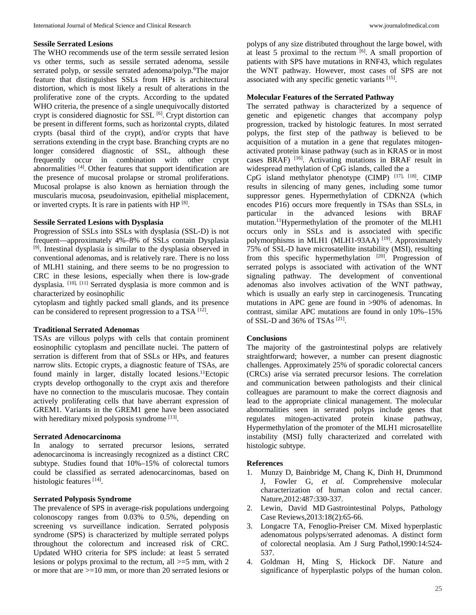## **Sessile Serrated Lesions**

The WHO recommends use of the term sessile serrated lesion vs other terms, such as sessile serrated adenoma, sessile serrated polyp, or sessile serrated adenoma/polyp.<sup>6</sup>The major feature that distinguishes SSLs from HPs is architectural distortion, which is most likely a result of alterations in the proliferative zone of the crypts. According to the updated WHO criteria, the presence of a single unequivocally distorted crypt is considered diagnostic for SSL <sup>[6]</sup>. Crypt distortion can be present in different forms, such as horizontal crypts, dilated crypts (basal third of the crypt), and/or crypts that have serrations extending in the crypt base. Branching crypts are no longer considered diagnostic of SSL, although these frequently occur in combination with other crypt abnormalities [4]. Other features that support identification are the presence of mucosal prolapse or stromal proliferations. Mucosal prolapse is also known as herniation through the muscularis mucosa, pseudoinvasion, epithelial misplacement, or inverted crypts. It is rare in patients with HP [8].

### **Sessile Serrated Lesions with Dysplasia**

Progression of SSLs into SSLs with dysplasia (SSL-D) is not frequent—approximately 4%–8% of SSLs contain Dysplasia [9]. Intestinal dysplasia is similar to the dysplasia observed in conventional adenomas, and is relatively rare. There is no loss of MLH1 staining, and there seems to be no progression to CRC in these lesions, especially when there is low-grade dysplasia. [10], [11] Serrated dysplasia is more common and is characterized by eosinophilic

cytoplasm and tightly packed small glands, and its presence can be considered to represent progression to a TSA [12].

#### **Traditional Serrated Adenomas**

TSAs are villous polyps with cells that contain prominent eosinophilic cytoplasm and pencillate nuclei. The pattern of serration is different from that of SSLs or HPs, and features narrow slits. Ectopic crypts, a diagnostic feature of TSAs, are found mainly in larger, distally located lesions.<sup>11</sup>Ectopic crypts develop orthogonally to the crypt axis and therefore have no connection to the muscularis mucosae. They contain actively proliferating cells that have aberrant expression of GREM1. Variants in the GREM1 gene have been associated with hereditary mixed polyposis syndrome [13].

### **Serrated Adenocarcinoma**

In analogy to serrated precursor lesions, serrated adenocarcinoma is increasingly recognized as a distinct CRC subtype. Studies found that 10%–15% of colorectal tumors could be classified as serrated adenocarcinomas, based on histologic features [14].

## **Serrated Polyposis Syndrome**

The prevalence of SPS in average-risk populations undergoing colonoscopy ranges from 0.03% to 0.5%, depending on screening vs surveillance indication. Serrated polyposis syndrome (SPS) is characterized by multiple serrated polyps throughout the colorectum and increased risk of CRC. Updated WHO criteria for SPS include: at least 5 serrated lesions or polyps proximal to the rectum, all  $>=5$  mm, with 2 or more that are >=10 mm, or more than 20 serrated lesions or

polyps of any size distributed throughout the large bowel, with at least 5 proximal to the rectum  $[6]$ . A small proportion of patients with SPS have mutations in RNF43, which regulates the WNT pathway. However, most cases of SPS are not associated with any specific genetic variants <sup>[15]</sup>.

### **Molecular Features of the Serrated Pathway**

The serrated pathway is characterized by a sequence of genetic and epigenetic changes that accompany polyp progression, tracked by histologic features. In most serrated polyps, the first step of the pathway is believed to be acquisition of a mutation in a gene that regulates mitogenactivated protein kinase pathway (such as in KRAS or in most cases BRAF) [16]. Activating mutations in BRAF result in widespread methylation of CpG islands, called the a

CpG island methylator phenotype (CIMP) [17], [18]. CIMP results in silencing of many genes, including some tumor suppressor genes. Hypermethylation of CDKN2A (which encodes P16) occurs more frequently in TSAs than SSLs, in particular in the advanced lesions with BRAF mutation.11Hypermethylation of the promoter of the MLH1 occurs only in SSLs and is associated with specific polymorphisms in MLH1 (MLH1-93AA)<sup>[19]</sup>. Approximately 75% of SSL-D have microsatellite instability (MSI), resulting from this specific hypermethylation [20]. Progression of serrated polyps is associated with activation of the WNT signaling pathway. The development of conventional adenomas also involves activation of the WNT pathway, which is usually an early step in carcinogenesis. Truncating mutations in APC gene are found in >90% of adenomas. In contrast, similar APC mutations are found in only 10%–15% of SSL-D and 36% of TSAs [21].

#### **Conclusions**

The majority of the gastrointestinal polyps are relatively straightforward; however, a number can present diagnostic challenges. Approximately 25% of sporadic colorectal cancers (CRCs) arise via serrated precursor lesions. The correlation and communication between pathologists and their clinical colleagues are paramount to make the correct diagnosis and lead to the appropriate clinical management. The molecular abnormalities seen in serrated polyps include genes that regulates mitogen-activated protein kinase pathway, Hypermethylation of the promoter of the MLH1 microsatellite instability (MSI) fully characterized and correlated with histologic subtype.

## **References**

- 1. Munzy D, Bainbridge M, Chang K, Dinh H, Drummond J, Fowler G, *et al*. Comprehensive molecular characterization of human colon and rectal cancer. Nature,2012:487:330-337.
- 2. Lewin, David MD Gastrointestinal Polyps, Pathology Case Reviews,2013:18(2):65-66.
- 3. Longacre TA, Fenoglio-Preiser CM. Mixed hyperplastic adenomatous polyps/serrated adenomas. A distinct form of colorectal neoplasia. Am J Surg Pathol,1990:14:524- 537.
- 4. Goldman H, Ming S, Hickock DF. Nature and significance of hyperplastic polyps of the human colon.